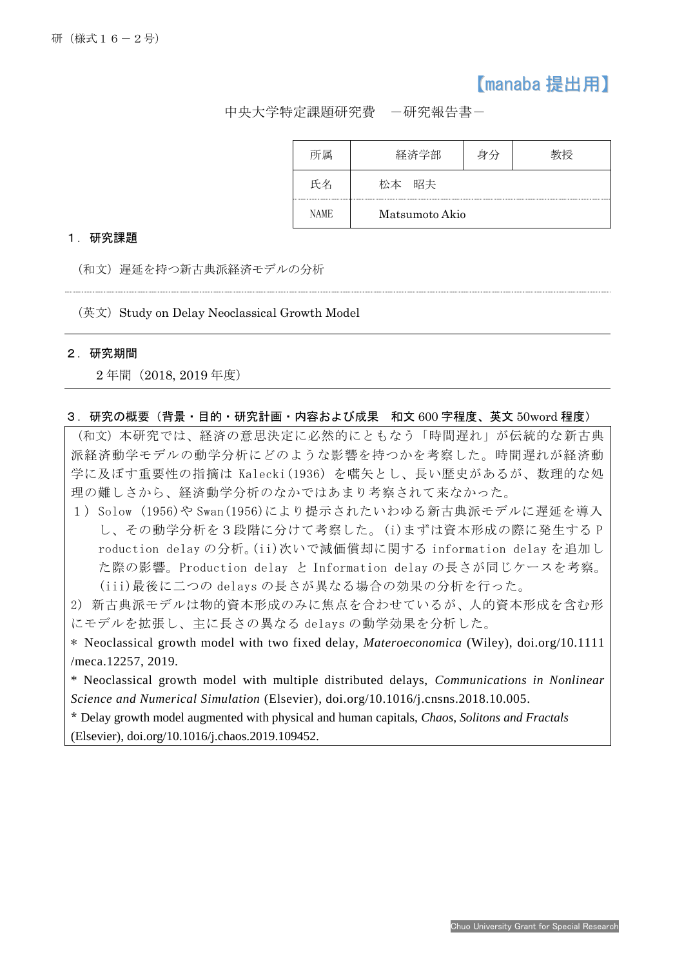## 【manaba 提出用】

中央大学特定課題研究費 -研究報告書-

| 軍    | 宅部             |  |
|------|----------------|--|
| 一夕   | 昭夫             |  |
| NAME | Matsumoto Akio |  |

## 1.研究課題

(和文)遅延を持つ新古典派経済モデルの分析

(英文) Study on Delay Neoclassical Growth Model

## 2.研究期間

j

2 年間(2018, 2019 年度)

## 3.研究の概要(背景・目的・研究計画・内容および成果 和文 600 字程度、英文 50word 程度)

(和文)本研究では、経済の意思決定に必然的にともなう「時間遅れ」が伝統的な新古典 派経済動学モデルの動学分析にどのような影響を持つかを考察した。時間遅れが経済動 学に及ぼす重要性の指摘は Kalecki(1936)を嚆矢とし、長い歴史があるが、数理的な処 理の難しさから、経済動学分析のなかではあまり考察されて来なかった。

1)Solow (1956)や Swan(1956)により提示されたいわゆる新古典派モデルに遅延を導入 し、その動学分析を3段階に分けて考察した。(i)まずは資本形成の際に発生する P roduction delay の分析。(ii)次いで減価償却に関する information delay を追加し た際の影響。Production delay と Information delay の長さが同じケースを考察。 (iii)最後に二つの delays の長さが異なる場合の効果の分析を行った。

2) 新古典派モデルは物的資本形成のみに焦点を合わせているが、人的資本形成を含む形 にモデルを拡張し、主に長さの異なる delays の動学効果を分析した。

\* Neoclassical growth model with two fixed delay, *Materoeconomica* (Wiley), doi.org/10.1111 /meca.12257, 2019.

\* Neoclassical growth model with multiple distributed delays, *Communications in Nonlinear Science and Numerical Simulation* (Elsevier), doi.org/10.1016/j.cnsns.2018.10.005.

\* Delay growth model augmented with physical and human capitals, *Chaos, Solitons and Fractals* (Elsevier), doi.org/10.1016/j.chaos.2019.109452.